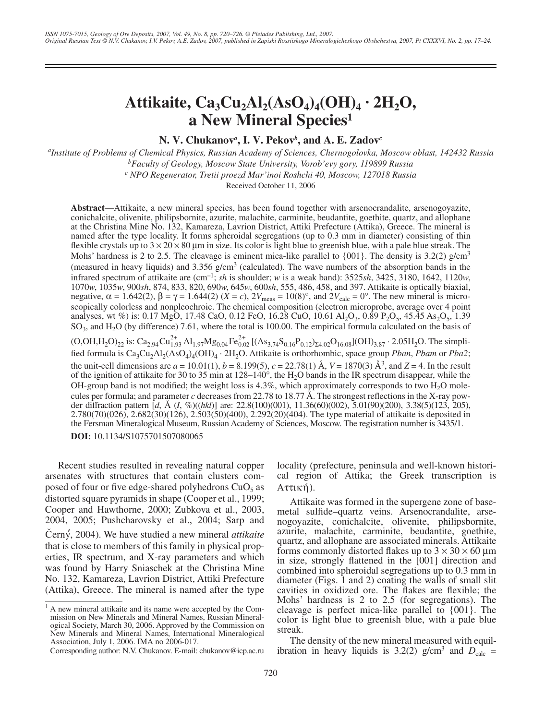## Attikaite,  $Ca_3Cu_2Al_2(AsO_4)_4(OH)_4 \cdot 2H_2O$ , **a New Mineral Species1**

**N. V. Chukanov***<sup>a</sup>* **, I. V. Pekov***<sup>b</sup>* **, and A. E. Zadov***<sup>c</sup>*

*a Institute of Problems of Chemical Physics, Russian Academy of Sciences, Chernogolovka, Moscow oblast, 142432 Russia b Faculty of Geology, Moscow State University, Vorob'evy gory, 119899 Russia*

*c NPO Regenerator, Tretii proezd Mar'inoi Roshchi 40, Moscow, 127018 Russia*

Received October 11, 2006

**Abstract**—Attikaite, a new mineral species, has been found together with arsenocrandalite, arsenogoyazite, conichalcite, olivenite, philipsbornite, azurite, malachite, carminite, beudantite, goethite, quartz, and allophane at the Christina Mine No. 132, Kamareza, Lavrion District, Attiki Prefecture (Attika), Greece. The mineral is named after the type locality. It forms spheroidal segregations (up to 0.3 mm in diameter) consisting of thin flexible crystals up to  $3 \times 20 \times 80$  µm in size. Its color is light blue to greenish blue, with a pale blue streak. The Mohs' hardness is 2 to 2.5. The cleavage is eminent mica-like parallel to  $\{001\}$ . The density is 3.2(2) g/cm<sup>3</sup> (measured in heavy liquids) and  $3.356$  g/cm<sup>3</sup> (calculated). The wave numbers of the absorption bands in the infrared spectrum of attikaite are (cm–1; *sh* is shoulder; *w* is a weak band): 3525*sh*, 3425, 3180, 1642, 1120*w*, 1070*w*, 1035*w*, 900*sh*, 874, 833, 820, 690*w*, 645*w*, 600*sh*, 555, 486, 458, and 397. Attikaite is optically biaxial, negative,  $\alpha = 1.642(2)$ ,  $\beta = \gamma = 1.644(2)$  ( $X = c$ ),  $2V_{\text{meas}} = 10(8)^\circ$ , and  $2V_{\text{calc}} = 0^\circ$ . The new mineral is microscopically colorless and nonpleochroic. The chemical composition (electron microprobe, average over 4 point analyses, wt %) is: 0.17 MgO, 17.48 CaO, 0.12 FeO, 16.28 CuO, 10.61 Al<sub>2</sub>O<sub>3</sub>, 0.89 P<sub>2</sub>O<sub>5</sub>, 45.45 As<sub>2</sub>O<sub>5</sub>, 1.39  $SO<sub>3</sub>$ , and  $H<sub>2</sub>O$  (by difference) 7.61, where the total is 100.00. The empirical formula calculated on the basis of  $(O, OH, H_2O)_{22}$  is:  $Ca_{2.94}Cu_{1.93}^{2+}Al_{1.97}Mg_{0.04}Fe_{0.02}^{2+}[(As_{3.74}S_{0.16}P_{0.12})_{\Sigma 4.02}O_{16.08}](OH)_{3.87}$  · 2.05H<sub>2</sub>O. The simplified formula is Ca3Cu2Al2(AsO4)4(OH)4 · 2H2O. Attikaite is orthorhombic, space group *Pban*, *Pbam* or *Pba2*; the unit-cell dimensions are  $a = 10.01(1)$ ,  $b = 8.199(5)$ ,  $c = 22.78(1)$  Å,  $V = 1870(3)$  Å<sup>3</sup>, and  $Z = 4$ . In the result of the ignition of attikaite for 30 to 35 min at 128–140°, the H2O bands in the IR spectrum disappear, while the OH-group band is not modified; the weight loss is  $4.3\%$ , which approximately corresponds to two H<sub>2</sub>O molecules per formula; and parameter *c* decreases from 22.78 to 18.77 Å. The strongest reflections in the X-ray powder diffraction pattern [*d*, Å (*I*, %)((*hkl*)] are: 22.8(100)(001), 11.36(60)(002), 5.01(90)(200), 3.38(5)(123, 205), 2.780(70)(026), 2.682(30)(126), 2.503(50)(400), 2.292(20)(404). The type material of attikaite is deposited in the Fersman Mineralogical Museum, Russian Academy of Sciences, Moscow. The registration number is 3435/1.

**DOI:** 10.1134/S1075701507080065

Recent studies resulted in revealing natural copper arsenates with structures that contain clusters composed of four or five edge-shared polyhedrons  $CuO<sub>5</sub>$  as distorted square pyramids in shape (Cooper et al., 1999; Cooper and Hawthorne, 2000; Zubkova et al., 2003, 2004, 2005; Pushcharovsky et al., 2004; Sarp and Černý, 2004). We have studied a new mineral *attikaite* that is close to members of this family in physical properties, IR spectrum, and X-ray parameters and which was found by Harry Sniaschek at the Christina Mine No. 132, Kamareza, Lavrion District, Attiki Prefecture (Attika), Greece. The mineral is named after the type

Corresponding author: N.V. Chukanov. E-mail: chukanov@icp.ac.ru

locality (prefecture, peninsula and well-known historical region of Attika; the Greek transcription is Αττική).

Attikaite was formed in the supergene zone of basemetal sulfide–quartz veins. Arsenocrandalite, arsenogoyazite, conichalcite, olivenite, philipsbornite, azurite, malachite, carminite, beudantite, goethite, quartz, and allophane are associated minerals. Attikaite forms commonly distorted flakes up to  $3 \times 30 \times 60$  µm in size, strongly flattened in the [001] direction and combined into spheroidal segregations up to 0.3 mm in diameter (Figs. 1 and 2) coating the walls of small slit cavities in oxidized ore. The flakes are flexible; the Mohs' hardness is 2 to 2.5 (for segregations). The cleavage is perfect mica-like parallel to {001}. The color is light blue to greenish blue, with a pale blue streak.

The density of the new mineral measured with equilibration in heavy liquids is 3.2(2)  $g/cm^3$  and  $D<sub>calc</sub>$  =

<sup>&</sup>lt;sup>1</sup> A new mineral attikaite and its name were accepted by the Commission on New Minerals and Mineral Names, Russian Mineralogical Society, March 30, 2006. Approved by the Commission on New Minerals and Mineral Names, International Mineralogical Association, July 1, 2006. IMA no 2006-017.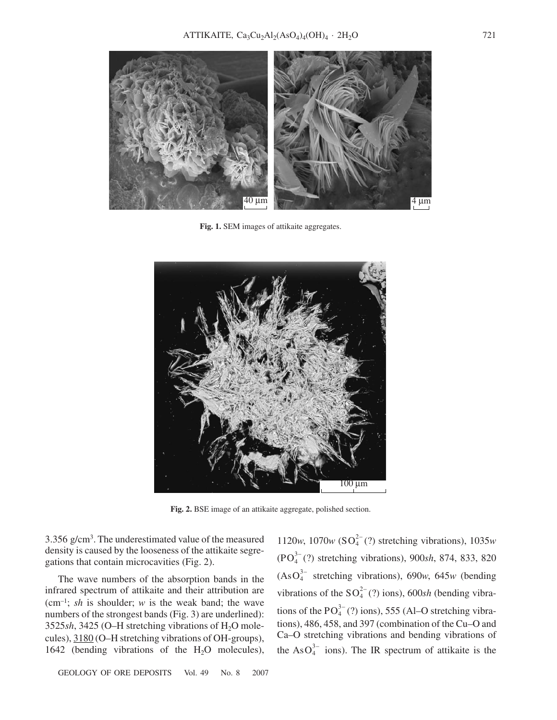

**Fig. 1.** SEM images of attikaite aggregates.



**Fig. 2.** BSE image of an attikaite aggregate, polished section.

3.356 g/cm3 . The underestimated value of the measured density is caused by the looseness of the attikaite segregations that contain microcavities (Fig. 2).

The wave numbers of the absorption bands in the infrared spectrum of attikaite and their attribution are (cm<sup>-1</sup>; *sh* is shoulder; *w* is the weak band; the wave numbers of the strongest bands (Fig. 3) are underlined): 3525 $sh$ , 3425 (O–H stretching vibrations of  $H_2O$  molecules), 3180 (O–H stretching vibrations of OH-groups), 1642 (bending vibrations of the  $H_2O$  molecules),

GEOLOGY OF ORE DEPOSITS Vol. 49 No. 8 2007

1120*w*, 1070*w* (SO<sub>4</sub><sup>2</sup> (?) stretching vibrations), 1035*w*  $(PO<sub>4</sub><sup>3-</sup>(?)$  stretching vibrations), 900*sh*, 874, 833, 820  $(AsO<sub>4</sub><sup>3–</sup> stretching vibrations)$ , 690*w*, 645*w* (bending vibrations of the  $SO_4^{2-}$  (?) ions), 600*sh* (bending vibrations of the  $PO_4^{3-}$  (?) ions), 555 (Al–O stretching vibrations), 486, 458, and 397 (combination of the Cu–O and Ca–O stretching vibrations and bending vibrations of the As $O_4^{3-}$  ions). The IR spectrum of attikaite is the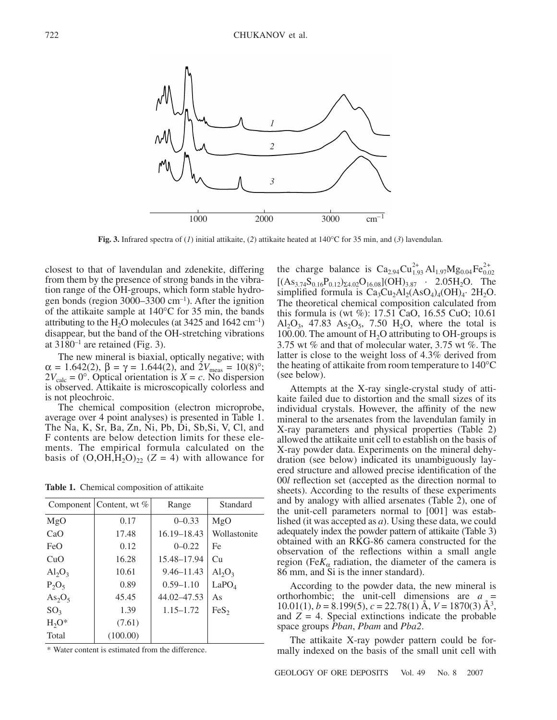

**Fig. 3.** Infrared spectra of (*1*) initial attikaite, (*2*) attikaite heated at 140°C for 35 min, and (*3*) lavendulan*.*

closest to that of lavendulan and zdenekite, differing from them by the presence of strong bands in the vibration range of the OH-groups, which form stable hydrogen bonds (region  $3000-3300$  cm<sup>-1</sup>). After the ignition of the attikaite sample at 140°C for 35 min, the bands attributing to the H<sub>2</sub>O molecules (at  $3425$  and  $1642 \text{ cm}^{-1}$ ) disappear, but the band of the OH-stretching vibrations at  $3180^{-1}$  are retained (Fig. 3).

The new mineral is biaxial, optically negative; with  $\alpha = 1.642(2), \beta = \gamma = 1.644(2), \text{ and } 2V_{\text{meas}} = 10(8)^\circ;$  $2V_{\text{calc}} = 0^{\circ}$ . Optical orientation is *X* = *c*. No dispersion is observed. Attikaite is microscopically colorless and is not pleochroic.

The chemical composition (electron microprobe, average over 4 point analyses) is presented in Table 1. The Na, K, Sr, Ba, Zn, Ni, Pb, Di, Sb,Si, V, Cl, and F contents are below detection limits for these elements. The empirical formula calculated on the basis of  $(O, OH, H<sub>2</sub>O)<sub>22</sub>$  (Z = 4) with allowance for

**Table 1.** Chemical composition of attikaite

|                                | Component   Content, wt % | Range          | Standard          |
|--------------------------------|---------------------------|----------------|-------------------|
| MgO                            | 0.17                      | $0 - 0.33$     | MgO               |
| CaO                            | 17.48                     | 16.19 - 18.43  | Wollastonite      |
| FeO                            | 0.12                      | $0 - 0.22$     | Fe                |
| CuO                            | 16.28                     | 15.48–17.94    | Cu                |
| $Al_2O_3$                      | 10.61                     | $9.46 - 11.43$ | $Al_2O_3$         |
| $P_2O_5$                       | 0.89                      | $0.59 - 1.10$  | LaPO <sub>4</sub> |
| As <sub>2</sub> O <sub>5</sub> | 45.45                     | 44.02–47.53    | As                |
| SO <sub>3</sub>                | 1.39                      | $1.15 - 1.72$  | FeS <sub>2</sub>  |
| $H_2O^*$                       | (7.61)                    |                |                   |
| Total                          | (100.00)                  |                |                   |

\* Water content is estimated from the difference.

the charge balance is  $\text{Ca}_{2.94}\text{Cu}_{1.93}^{2+} \text{Al}_{1.97}\text{Mg}_{0.04}\text{Fe}_{0.02}^{2+}$  $[(As<sub>3.74</sub>S<sub>0.16</sub>P<sub>0.12</sub>)<sub>24.02</sub>O<sub>16.08</sub>](OH)<sub>3.87</sub> · 2.05H<sub>2</sub>O. The$ simplified formula is  $Ca_3Cu_2Al_2(ASO_4)_4(OH)_4$ . 2H<sub>2</sub>O. The theoretical chemical composition calculated from this formula is (wt %): 17.51 CaO, 16.55 CuO; 10.61  $Al_2O_3$ , 47.83  $As_2O_5$ , 7.50  $H_2O$ , where the total is 100.00. The amount of  $H_2O$  attributing to OH-groups is 3.75 wt % and that of molecular water, 3.75 wt %. The latter is close to the weight loss of 4.3% derived from the heating of attikaite from room temperature to 140°C (see below).

Attempts at the X-ray single-crystal study of attikaite failed due to distortion and the small sizes of its individual crystals. However, the affinity of the new mineral to the arsenates from the lavendulan family in X-ray parameters and physical properties (Table 2) allowed the attikaite unit cell to establish on the basis of X-ray powder data. Experiments on the mineral dehydration (see below) indicated its unambiguously layered structure and allowed precise identification of the 00*l* reflection set (accepted as the direction normal to sheets). According to the results of these experiments and by analogy with allied arsenates (Table 2), one of the unit-cell parameters normal to [001] was established (it was accepted as *a*). Using these data, we could adequately index the powder pattern of attikaite (Table 3) obtained with an RKG-86 camera constructed for the observation of the reflections within a small angle region (Fe $K_{\alpha}$  radiation, the diameter of the camera is 86 mm, and Si is the inner standard).

According to the powder data, the new mineral is orthorhombic; the unit-cell dimensions are *a* = 10.01(1),  $b = 8.199(5)$ ,  $c = 22.78(1)$  Å,  $V = 1870(3)$  Å<sup>3</sup>, and  $Z = 4$ . Special extinctions indicate the probable space groups *Pban*, *Pbam* and *Pba2*.

The attikaite X-ray powder pattern could be formally indexed on the basis of the small unit cell with

GEOLOGY OF ORE DEPOSITS Vol. 49 No. 8 2007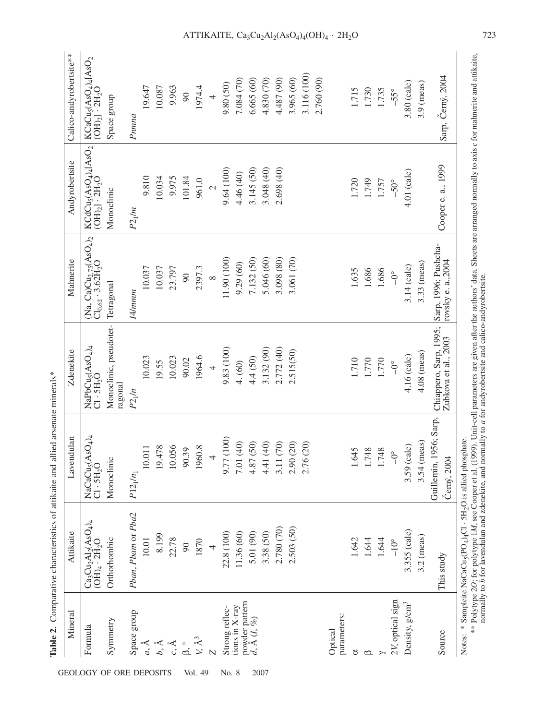| Mineral<br>Formula               | $\rm Ca_3 Cu_2 Al_2 (ASO_4)_4 \over (OH)_4 \cdot 2H_2O$<br>Attikaite | $ASO_4$ <sub>4</sub><br>Lavendulan<br>$NaCaCu5(A)$<br>Cl $\cdot$ 5H <sub>2</sub> O | $NapbCu5(ASO4)4 Cl·5H2O$<br>Zdenekite                                                  | (Na, Ca)Cu <sub>2.75</sub> (AsO <sub>4)2</sub><br>Cl <sub>0.62</sub> · 3.62H <sub>2</sub> O<br>Mahnerite | $\text{KCdCu}_3(\text{AsO}_4)_4[\text{AsO}_2]$<br>(OH) <sub>2</sub> ] $\cdot$ 2H <sub>2</sub> O<br>Andyrobertsite | Calico-andyrobertsite**<br>$\begin{array}{l} \text{KCaCu}_5(\text{AsO}_4)_4[\text{AsO}_2$\\ \text{(OH)}_2]\cdot 2\text{H}_2\text{O} \end{array}$ |
|----------------------------------|----------------------------------------------------------------------|------------------------------------------------------------------------------------|----------------------------------------------------------------------------------------|----------------------------------------------------------------------------------------------------------|-------------------------------------------------------------------------------------------------------------------|--------------------------------------------------------------------------------------------------------------------------------------------------|
| Space group<br>Symmetry          | Pban, Pbam or Pba2<br>Orthorhombic                                   | Monoclinic<br>$P12_1/n_1$                                                          | Monoclinic, pseudotet-<br>ragonal<br>$P2_1/n$                                          | Tetragonal<br>I4/mmm                                                                                     | Monoclinic<br>$P2_1/m$                                                                                            | Space group<br>Pnnna                                                                                                                             |
| $a, \AA$                         | 10.01                                                                | 10.011                                                                             | 10.023                                                                                 | 10.037                                                                                                   | 9.810                                                                                                             | 19.647                                                                                                                                           |
| $b, \mathring{A}$                | 8.199                                                                | .478<br>19.                                                                        | 19.55                                                                                  | 10.037                                                                                                   | 10.034                                                                                                            | 10.087                                                                                                                                           |
| $c, \overset{\circ}{A}$          | 22.78                                                                | 10.056                                                                             | 10.023                                                                                 | 23.797                                                                                                   | 9.975                                                                                                             | 9.963                                                                                                                                            |
| $\beta$ ,                        | $\infty$                                                             | 90.39                                                                              | 90.02                                                                                  | $\infty$                                                                                                 | 101.84                                                                                                            | 90                                                                                                                                               |
| $V, \AA^3$                       | 1870                                                                 | 1960.8                                                                             | 1964.6                                                                                 | 2397.3                                                                                                   | 961.0                                                                                                             | 1974.4                                                                                                                                           |
|                                  | $\overline{4}$                                                       | 4                                                                                  | $\overline{4}$                                                                         | $\infty$                                                                                                 | $\overline{c}$                                                                                                    | $\overline{4}$                                                                                                                                   |
| Strong reflec-                   | 22.8 (100)                                                           | (100)<br>9.77                                                                      | 9.83 (100)                                                                             | 11.90 (100)                                                                                              | 9.64(100)                                                                                                         | 9.80 (50)                                                                                                                                        |
| tions in X-ray                   | 11.36 (60)                                                           | (40)<br>7.01                                                                       | 4. (60)                                                                                | 9.29 (60)                                                                                                | 4.46 (40)                                                                                                         | 7.084 (70)                                                                                                                                       |
| powder pattern<br>d, Å $(I, \%)$ | 5.01 (90)                                                            | (50)<br>4.87                                                                       | 4.4(50)                                                                                | 7.132 (50)                                                                                               | 3.145 (50)                                                                                                        | 6.665(60)                                                                                                                                        |
|                                  | 3.38 (50)                                                            | (40)<br>4.41                                                                       | 3.132 (90)                                                                             | 5.046 (60)                                                                                               | 3.048 (40)                                                                                                        | 4.830 (70)                                                                                                                                       |
|                                  | 2.780 (70)                                                           | (70)<br>3.11                                                                       | 2.772 (40)                                                                             | 3.098 (80)                                                                                               | 2.698 (40)                                                                                                        | 4.487 (90)                                                                                                                                       |
|                                  | 2.503 (50)                                                           | (20)<br>2.90                                                                       | 2.515(50)                                                                              | 3.061 (70)                                                                                               |                                                                                                                   | 3.965 (60)                                                                                                                                       |
|                                  |                                                                      | (20)<br>2.76                                                                       |                                                                                        |                                                                                                          |                                                                                                                   | 3.116 (100)                                                                                                                                      |
|                                  |                                                                      |                                                                                    |                                                                                        |                                                                                                          |                                                                                                                   | 2.760 (90)                                                                                                                                       |
| parameters:<br>Optical           |                                                                      |                                                                                    |                                                                                        |                                                                                                          |                                                                                                                   |                                                                                                                                                  |
|                                  | 1.642                                                                | 1.645                                                                              | 1.710                                                                                  | 1.635                                                                                                    | 1.720                                                                                                             | 1.715                                                                                                                                            |
|                                  | 1.644                                                                | 1.748                                                                              | 1.770                                                                                  | 1.686                                                                                                    | 1.749                                                                                                             | 1.730                                                                                                                                            |
|                                  | 1.644                                                                | 1.748                                                                              | 1.770                                                                                  | 1.686                                                                                                    | 1.757                                                                                                             | 1.735                                                                                                                                            |
| 2V, optical sign                 | $-10^{\circ}$                                                        | $-0^{\circ}$                                                                       | $-0^{\circ}$                                                                           | $-6^{\circ}$                                                                                             | $-50^\circ$                                                                                                       | $-55^\circ$                                                                                                                                      |
| Density, g/cm <sup>3</sup>       | 3.355 (calc)                                                         | 3.59 (calc)                                                                        | 4.16 (calc)                                                                            | 3.14 (calc)                                                                                              | 4.01 (calc)                                                                                                       | $3.80$ (calc)                                                                                                                                    |
|                                  | $3.2$ (meas)                                                         | $3.54$ (meas)                                                                      | 4.08 (meas)                                                                            | 3.33 (meas)                                                                                              |                                                                                                                   | $3.9$ (meas)                                                                                                                                     |
| Source                           | This study                                                           | Guillemin, 1956; Sarp,<br>Cerný, 2004                                              | Chiappero, Sarp, 1995; Sarp, 1996; Pushcha-<br>Zubkova et al., 2003 Povsky e. a., 2004 |                                                                                                          | Cooper e. a., 1999                                                                                                | Sarp, Černý, 2004                                                                                                                                |

**Table 2.** Comparative characteristics of attikaite and allied arsenate minerals\* **Table 2.** Comparative characteristics of attikaite and allied arsenate minerals\*

Notes: \* Sampleite NaCaCu5(PO4)4Cl · 5H2O is allied phosphate.

: \* Samplete NaCaCu<sub>S</sub>(PO<sub>4</sub>)4Cl · 5H<sub>2</sub>O is alited phosphate.<br>\*\* Polytype 2*O;* for polytype 1*M,* see Cooper et al. (1999). Unit-cell parameters are given after the authors' data. Sheets are arranged normally to axis *c M*, see Cooper et al. (1999). Unit-cell parameters are given after the authors' data. Sheets are arranged normally to axis *c* for mahnerite and attikaite, normally to *b* for lavendulan and zdenekite, and normally to *a* for andyrobertsite and calico-andyrobertsite. *O*; for polytype 1 \*\* Polytype 2

## ATTIKAITE,  $Ca_3Cu_2Al_2(AsO_4)_4(OH)_4 \cdot 2H_2O$  723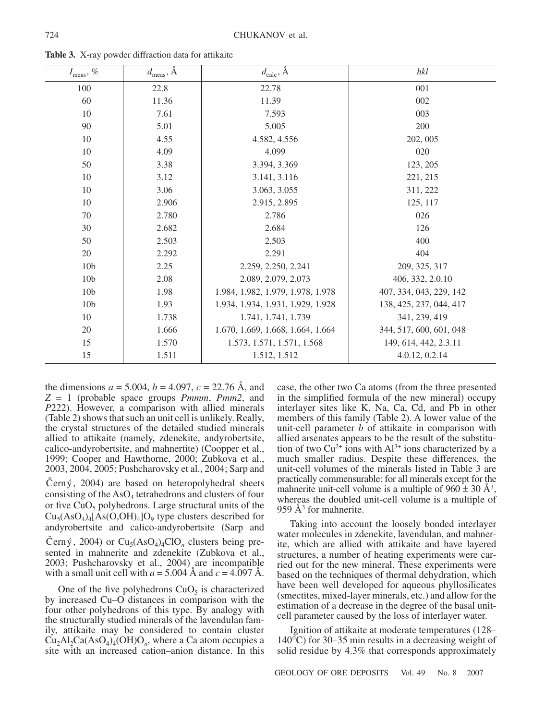| $I_{\text{meas}}, \, \%$ | $d_{\text{meas}}$ , $\AA$ | $d_{\text{calc}}$ , Å             | hkl                     |
|--------------------------|---------------------------|-----------------------------------|-------------------------|
| 100                      | 22.8                      | 22.78                             | 001                     |
| 60                       | 11.36                     | 11.39                             | 002                     |
| 10                       | 7.61                      | 7.593                             | 003                     |
| 90                       | 5.01                      | 5.005                             | 200                     |
| 10                       | 4.55                      | 4.582, 4.556                      | 202, 005                |
| 10                       | 4.09                      | 4.099                             | 020                     |
| 50                       | 3.38                      | 3.394, 3.369                      | 123, 205                |
| 10                       | 3.12                      | 3.141, 3.116                      | 221, 215                |
| 10                       | 3.06                      | 3.063, 3.055                      | 311, 222                |
| 10                       | 2.906                     | 2.915, 2.895                      | 125, 117                |
| 70                       | 2.780                     | 2.786                             | 026                     |
| 30                       | 2.682                     | 2.684                             | 126                     |
| 50                       | 2.503                     | 2.503                             | 400                     |
| 20                       | 2.292                     | 2.291                             | 404                     |
| 10 <sub>b</sub>          | 2.25                      | 2.259, 2.250, 2.241               | 209, 325, 317           |
| 10 <sub>b</sub>          | 2.08                      | 2.089, 2.079, 2.073               | 406, 332, 2.0.10        |
| 10 <sub>b</sub>          | 1.98                      | 1.984, 1.982, 1.979, 1.978, 1.978 | 407, 334, 043, 229, 142 |
| 10 <sub>b</sub>          | 1.93                      | 1.934, 1.934, 1.931, 1.929, 1.928 | 138, 425, 237, 044, 417 |
| 10                       | 1.738                     | 1.741, 1.741, 1.739               | 341, 239, 419           |
| 20                       | 1.666                     | 1.670, 1.669, 1.668, 1.664, 1.664 | 344, 517, 600, 601, 048 |
| 15                       | 1.570                     | 1.573, 1.571, 1.571, 1.568        | 149, 614, 442, 2.3.11   |
| 15                       | 1.511                     | 1.512, 1.512                      | 4.0.12, 0.2.14          |

**Table 3.** X-ray powder diffraction data for attikaite

the dimensions  $a = 5.004$ ,  $b = 4.097$ ,  $c = 22.76$  Å, and *Z* = 1 (probable space groups *Pmmm*, *Pmm2*, and *P*222). However, a comparison with allied minerals (Table 2) shows that such an unit cell is unlikely. Really, the crystal structures of the detailed studied minerals allied to attikaite (namely, zdenekite, andyrobertsite, calico-andyrobertsite, and mahnertite) (Coopper et al., 1999; Cooper and Hawthorne, 2000; Zubkova et al., 2003, 2004, 2005; Pushcharovsky et al., 2004; Sarp and

Černý, 2004) are based on heteropolyhedral sheets consisting of the  $AsO<sub>4</sub>$  tetrahedrons and clusters of four or five  $CuO<sub>5</sub>$  polyhedrons. Large structural units of the  $Cu<sub>5</sub>(AsO<sub>4</sub>)<sub>4</sub>[As(O,OH)<sub>4</sub>]O<sub>9</sub>$  type clusters described for andyrobertsite and calico-andyrobertsite (Sarp and Černý, 2004) or  $Cu<sub>5</sub>(AsO<sub>4</sub>)<sub>4</sub>ClO<sub>n</sub>$  clusters being presented in mahnerite and zdenekite (Zubkova et al., 2003; Pushcharovsky et al., 2004) are incompatible with a small unit cell with  $a = 5.004$  Å and  $c = 4.097$  Å.

One of the five polyhedrons  $CuO<sub>5</sub>$  is characterized by increased Cu–O distances in comparison with the four other polyhedrons of this type. By analogy with the structurally studied minerals of the lavendulan family, attikaite may be considered to contain cluster  $Cu<sub>2</sub>Al<sub>2</sub>Ca(AsO<sub>4</sub>)<sub>4</sub>(OH)O<sub>n</sub>$ , where a Ca atom occupies a site with an increased cation–anion distance. In this case, the other two Ca atoms (from the three presented in the simplified formula of the new mineral) occupy interlayer sites like K, Na, Ca, Cd, and Pb in other members of this family (Table 2). A lower value of the unit-cell parameter *b* of attikaite in comparison with allied arsenates appears to be the result of the substitution of two  $Cu^{2+}$  ions with  $Al^{3+}$  ions characterized by a much smaller radius. Despite these differences, the unit-cell volumes of the minerals listed in Table 3 are practically commensurable: for all minerals except for the mahnerite unit-cell volume is a multiple of  $960 \pm 30$  Å<sup>3</sup>, whereas the doubled unit-cell volume is a multiple of 959  $\AA$ <sup>3</sup> for mahnerite.

Taking into account the loosely bonded interlayer water molecules in zdenekite, lavendulan, and mahnerite, which are allied with attikaite and have layered structures, a number of heating experiments were carried out for the new mineral. These experiments were based on the techniques of thermal dehydration, which have been well developed for aqueous phyllosilicates (smectites, mixed-layer minerals, etc.) and allow for the estimation of a decrease in the degree of the basal unitcell parameter caused by the loss of interlayer water.

Ignition of attikaite at moderate temperatures (128– 140°C) for 30–35 min results in a decreasing weight of solid residue by 4.3% that corresponds approximately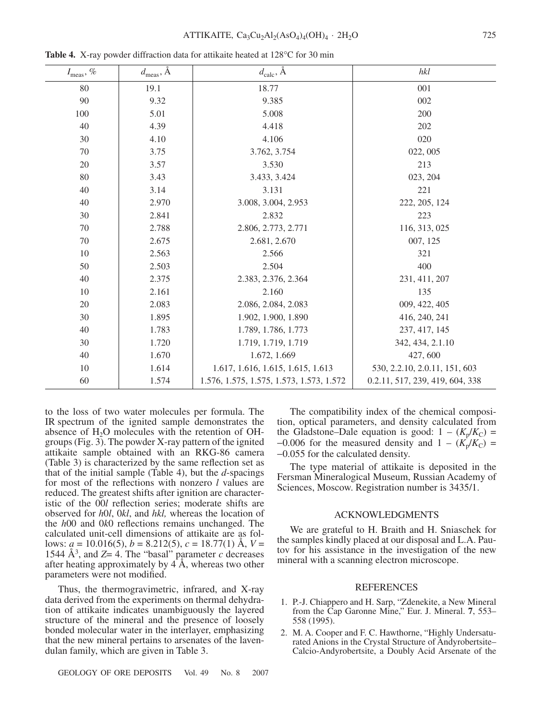| $I_{\rm meas},\,\%$ | $d_{\text{meas}}$ , $\AA$ | $d_{\text{calc}}$ , $\check{A}$          | hkl                             |
|---------------------|---------------------------|------------------------------------------|---------------------------------|
| 80                  | 19.1                      | 18.77                                    | 001                             |
| 90                  | 9.32                      | 9.385                                    | 002                             |
| 100                 | 5.01                      | 5.008                                    | 200                             |
| 40                  | 4.39                      | 4.418                                    | 202                             |
| 30                  | 4.10                      | 4.106                                    | 020                             |
| 70                  | 3.75                      | 3.762, 3.754                             | 022, 005                        |
| 20                  | 3.57                      | 3.530                                    | 213                             |
| 80                  | 3.43                      | 3.433, 3.424                             | 023, 204                        |
| 40                  | 3.14                      | 3.131                                    | 221                             |
| 40                  | 2.970                     | 3.008, 3.004, 2.953                      | 222, 205, 124                   |
| 30                  | 2.841                     | 2.832                                    | 223                             |
| 70                  | 2.788                     | 2.806, 2.773, 2.771                      | 116, 313, 025                   |
| 70                  | 2.675                     | 2.681, 2.670                             | 007, 125                        |
| 10                  | 2.563                     | 2.566                                    | 321                             |
| 50                  | 2.503                     | 2.504                                    | 400                             |
| 40                  | 2.375                     | 2.383, 2.376, 2.364                      | 231, 411, 207                   |
| 10                  | 2.161                     | 2.160                                    | 135                             |
| 20                  | 2.083                     | 2.086, 2.084, 2.083                      | 009, 422, 405                   |
| 30                  | 1.895                     | 1.902, 1.900, 1.890                      | 416, 240, 241                   |
| 40                  | 1.783                     | 1.789, 1.786, 1.773                      | 237, 417, 145                   |
| 30                  | 1.720                     | 1.719, 1.719, 1.719                      | 342, 434, 2.1.10                |
| 40                  | 1.670                     | 1.672, 1.669                             | 427,600                         |
| 10                  | 1.614                     | 1.617, 1.616, 1.615, 1.615, 1.613        | 530, 2.2.10, 2.0.11, 151, 603   |
| 60                  | 1.574                     | 1.576, 1.575, 1.575, 1.573, 1.573, 1.572 | 0.2.11, 517, 239, 419, 604, 338 |

**Table 4.** X-ray powder diffraction data for attikaite heated at 128°C for 30 min

to the loss of two water molecules per formula. The IR spectrum of the ignited sample demonstrates the absence of  $H_2O$  molecules with the retention of OHgroups (Fig. 3). The powder X-ray pattern of the ignited attikaite sample obtained with an RKG-86 camera (Table 3) is characterized by the same reflection set as that of the initial sample (Table 4), but the *d*-spacings for most of the reflections with nonzero *l* values are reduced. The greatest shifts after ignition are characteristic of the 00*l* reflection series; moderate shifts are observed for *h*0*l*, 0*kl*, and *hkl,* whereas the location of the *h*00 and 0*k*0 reflections remains unchanged. The calculated unit-cell dimensions of attikaite are as follows: *a* = 10.016(5), *b* = 8.212(5), *c* = 18.77(1) Å, *V* = 1544  $\AA^3$ , and *Z*= 4. The "basal" parameter *c* decreases after heating approximately by  $\overrightarrow{4}$ , whereas two other parameters were not modified.

Thus, the thermogravimetric, infrared, and X-ray data derived from the experiments on thermal dehydration of attikaite indicates unambiguously the layered structure of the mineral and the presence of loosely bonded molecular water in the interlayer, emphasizing that the new mineral pertains to arsenates of the lavendulan family, which are given in Table 3.

The compatibility index of the chemical composition, optical parameters, and density calculated from the Gladstone–Dale equation is good:  $1 - (K_p/K_C)$  =  $-0.006$  for the measured density and  $1 - (K_p/K_C)$  = −0.055 for the calculated density.

The type material of attikaite is deposited in the Fersman Mineralogical Museum, Russian Academy of Sciences, Moscow. Registration number is 3435/1.

## ACKNOWLEDGMENTS

We are grateful to H. Braith and H. Sniaschek for the samples kindly placed at our disposal and L.A. Pautov for his assistance in the investigation of the new mineral with a scanning electron microscope.

## REFERENCES

- 1. P.-J. Chiappero and H. Sarp, "Zdenekite, a New Mineral from the Cap Garonne Mine," Eur. J. Mineral. **7**, 553– 558 (1995).
- 2. M. A. Cooper and F. C. Hawthorne, "Highly Undersaturated Anions in the Crystal Structure of Andyrobertsite– Calcio-Andyrobertsite, a Doubly Acid Arsenate of the